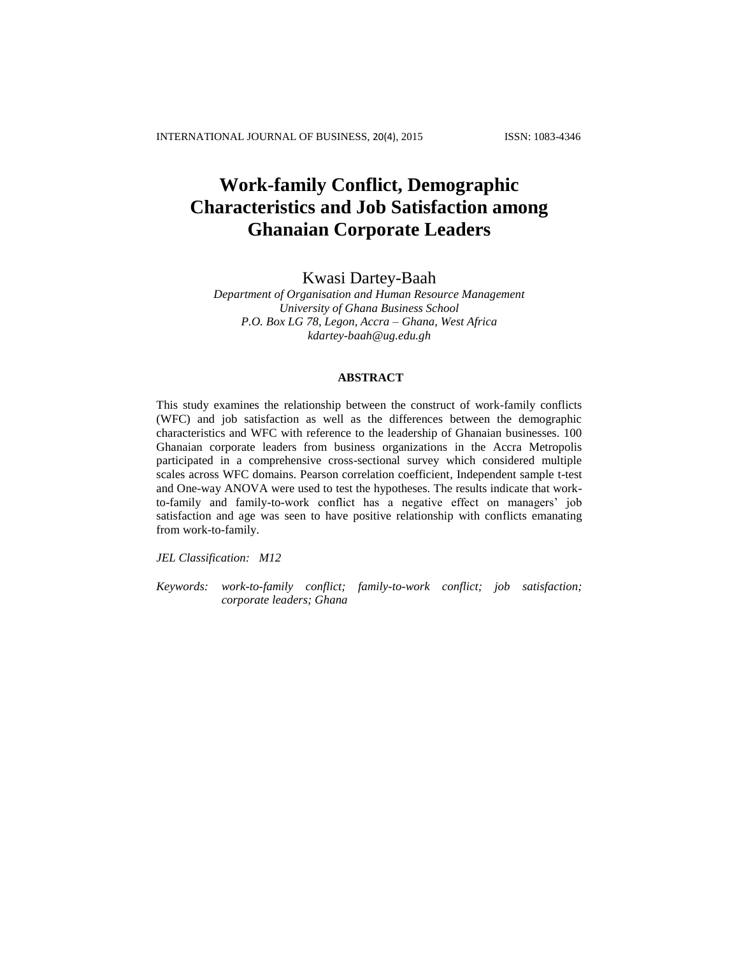# **Work-family Conflict, Demographic Characteristics and Job Satisfaction among Ghanaian Corporate Leaders**

# Kwasi Dartey-Baah

*Department of Organisation and Human Resource Management University of Ghana Business School P.O. Box LG 78, Legon, Accra – Ghana, West Africa kdartey-baah@ug.edu.gh*

# **ABSTRACT**

This study examines the relationship between the construct of work-family conflicts (WFC) and job satisfaction as well as the differences between the demographic characteristics and WFC with reference to the leadership of Ghanaian businesses. 100 Ghanaian corporate leaders from business organizations in the Accra Metropolis participated in a comprehensive cross-sectional survey which considered multiple scales across WFC domains. Pearson correlation coefficient, Independent sample t-test and One-way ANOVA were used to test the hypotheses. The results indicate that workto-family and family-to-work conflict has a negative effect on managers' job satisfaction and age was seen to have positive relationship with conflicts emanating from work-to-family.

*JEL Classification: M12*

*Keywords: work-to-family conflict; family-to-work conflict; job satisfaction; corporate leaders; Ghana*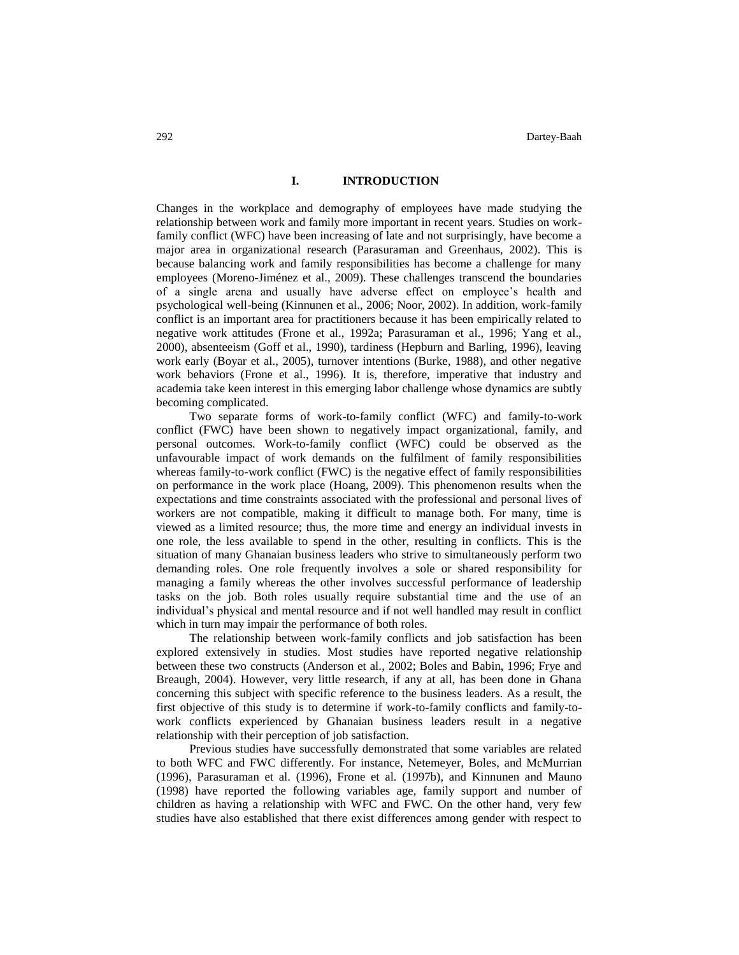#### **I. INTRODUCTION**

Changes in the workplace and demography of employees have made studying the relationship between work and family more important in recent years. Studies on workfamily conflict (WFC) have been increasing of late and not surprisingly, have become a major area in organizational research (Parasuraman and Greenhaus, 2002). This is because balancing work and family responsibilities has become a challenge for many employees (Moreno-Jiménez et al., 2009). These challenges transcend the boundaries of a single arena and usually have adverse effect on employee's health and psychological well-being (Kinnunen et al., 2006; Noor, 2002). In addition, work-family conflict is an important area for practitioners because it has been empirically related to negative work attitudes (Frone et al., 1992a; Parasuraman et al., 1996; Yang et al., 2000), absenteeism (Goff et al., 1990), tardiness (Hepburn and Barling, 1996), leaving work early (Boyar et al., 2005), turnover intentions (Burke, 1988), and other negative work behaviors (Frone et al., 1996). It is, therefore, imperative that industry and academia take keen interest in this emerging labor challenge whose dynamics are subtly becoming complicated.

Two separate forms of work-to-family conflict (WFC) and family-to-work conflict (FWC) have been shown to negatively impact organizational, family, and personal outcomes. Work-to-family conflict (WFC) could be observed as the unfavourable impact of work demands on the fulfilment of family responsibilities whereas family-to-work conflict (FWC) is the negative effect of family responsibilities on performance in the work place (Hoang, 2009). This phenomenon results when the expectations and time constraints associated with the professional and personal lives of workers are not compatible, making it difficult to manage both. For many, time is viewed as a limited resource; thus, the more time and energy an individual invests in one role, the less available to spend in the other, resulting in conflicts. This is the situation of many Ghanaian business leaders who strive to simultaneously perform two demanding roles. One role frequently involves a sole or shared responsibility for managing a family whereas the other involves successful performance of leadership tasks on the job. Both roles usually require substantial time and the use of an individual's physical and mental resource and if not well handled may result in conflict which in turn may impair the performance of both roles.

The relationship between work-family conflicts and job satisfaction has been explored extensively in studies. Most studies have reported negative relationship between these two constructs (Anderson et al., 2002; Boles and Babin, 1996; Frye and Breaugh, 2004). However, very little research, if any at all, has been done in Ghana concerning this subject with specific reference to the business leaders. As a result, the first objective of this study is to determine if work-to-family conflicts and family-towork conflicts experienced by Ghanaian business leaders result in a negative relationship with their perception of job satisfaction.

Previous studies have successfully demonstrated that some variables are related to both WFC and FWC differently. For instance, Netemeyer, Boles, and McMurrian (1996), Parasuraman et al. (1996), Frone et al. (1997b), and Kinnunen and Mauno (1998) have reported the following variables age, family support and number of children as having a relationship with WFC and FWC. On the other hand, very few studies have also established that there exist differences among gender with respect to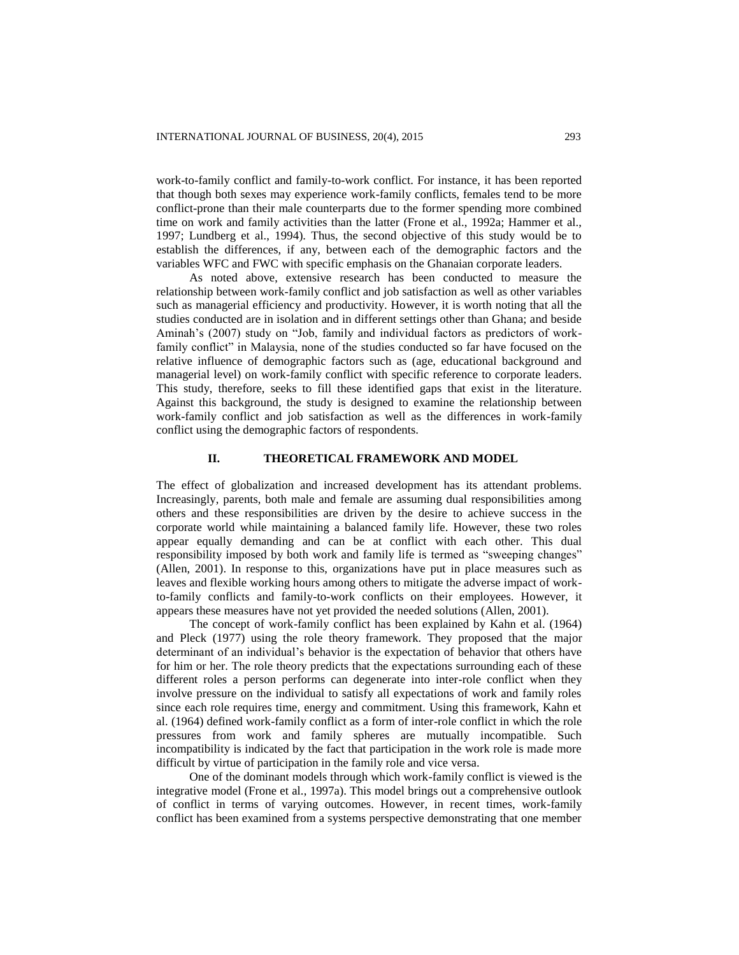work-to-family conflict and family-to-work conflict. For instance, it has been reported that though both sexes may experience work-family conflicts, females tend to be more conflict-prone than their male counterparts due to the former spending more combined time on work and family activities than the latter (Frone et al., 1992a; Hammer et al., 1997; Lundberg et al., 1994). Thus, the second objective of this study would be to establish the differences, if any, between each of the demographic factors and the variables WFC and FWC with specific emphasis on the Ghanaian corporate leaders.

As noted above, extensive research has been conducted to measure the relationship between work-family conflict and job satisfaction as well as other variables such as managerial efficiency and productivity. However, it is worth noting that all the studies conducted are in isolation and in different settings other than Ghana; and beside Aminah's (2007) study on "Job, family and individual factors as predictors of workfamily conflict" in Malaysia, none of the studies conducted so far have focused on the relative influence of demographic factors such as (age, educational background and managerial level) on work-family conflict with specific reference to corporate leaders. This study, therefore, seeks to fill these identified gaps that exist in the literature. Against this background, the study is designed to examine the relationship between work-family conflict and job satisfaction as well as the differences in work-family conflict using the demographic factors of respondents.

#### **II. THEORETICAL FRAMEWORK AND MODEL**

The effect of globalization and increased development has its attendant problems. Increasingly, parents, both male and female are assuming dual responsibilities among others and these responsibilities are driven by the desire to achieve success in the corporate world while maintaining a balanced family life. However, these two roles appear equally demanding and can be at conflict with each other. This dual responsibility imposed by both work and family life is termed as "sweeping changes" (Allen, 2001). In response to this, organizations have put in place measures such as leaves and flexible working hours among others to mitigate the adverse impact of workto-family conflicts and family-to-work conflicts on their employees. However, it appears these measures have not yet provided the needed solutions (Allen, 2001).

The concept of work-family conflict has been explained by Kahn et al. (1964) and Pleck (1977) using the role theory framework. They proposed that the major determinant of an individual's behavior is the expectation of behavior that others have for him or her. The role theory predicts that the expectations surrounding each of these different roles a person performs can degenerate into inter-role conflict when they involve pressure on the individual to satisfy all expectations of work and family roles since each role requires time, energy and commitment. Using this framework, Kahn et al. (1964) defined work-family conflict as a form of inter-role conflict in which the role pressures from work and family spheres are mutually incompatible. Such incompatibility is indicated by the fact that participation in the work role is made more difficult by virtue of participation in the family role and vice versa.

One of the dominant models through which work-family conflict is viewed is the integrative model (Frone et al., 1997a). This model brings out a comprehensive outlook of conflict in terms of varying outcomes. However, in recent times, work-family conflict has been examined from a systems perspective demonstrating that one member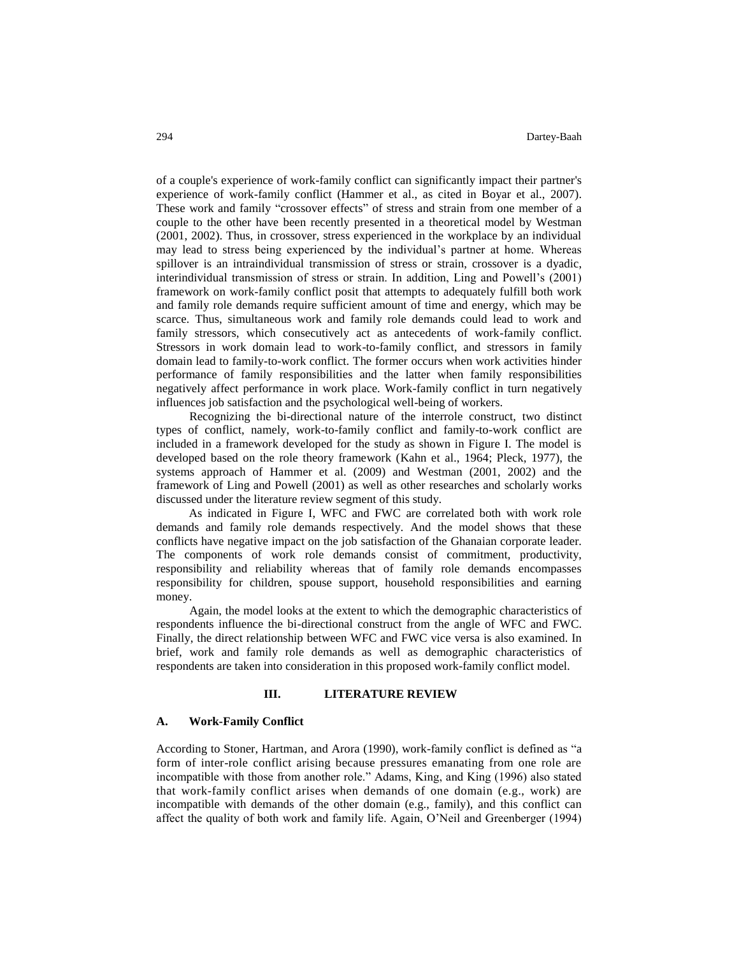of a couple's experience of work-family conflict can significantly impact their partner's experience of work-family conflict (Hammer et al., as cited in Boyar et al., 2007). These work and family "crossover effects" of stress and strain from one member of a couple to the other have been recently presented in a theoretical model by Westman (2001, 2002). Thus, in crossover, stress experienced in the workplace by an individual may lead to stress being experienced by the individual's partner at home. Whereas spillover is an intraindividual transmission of stress or strain, crossover is a dyadic, interindividual transmission of stress or strain. In addition, Ling and Powell's (2001) framework on work-family conflict posit that attempts to adequately fulfill both work and family role demands require sufficient amount of time and energy, which may be scarce. Thus, simultaneous work and family role demands could lead to work and family stressors, which consecutively act as antecedents of work-family conflict. Stressors in work domain lead to work-to-family conflict, and stressors in family domain lead to family-to-work conflict. The former occurs when work activities hinder performance of family responsibilities and the latter when family responsibilities negatively affect performance in work place. Work-family conflict in turn negatively influences job satisfaction and the psychological well-being of workers.

Recognizing the bi-directional nature of the interrole construct, two distinct types of conflict, namely, work-to-family conflict and family-to-work conflict are included in a framework developed for the study as shown in Figure I. The model is developed based on the role theory framework (Kahn et al., 1964; Pleck, 1977), the systems approach of Hammer et al. (2009) and Westman (2001, 2002) and the framework of Ling and Powell (2001) as well as other researches and scholarly works discussed under the literature review segment of this study.

As indicated in Figure I, WFC and FWC are correlated both with work role demands and family role demands respectively. And the model shows that these conflicts have negative impact on the job satisfaction of the Ghanaian corporate leader. The components of work role demands consist of commitment, productivity, responsibility and reliability whereas that of family role demands encompasses responsibility for children, spouse support, household responsibilities and earning money.

Again, the model looks at the extent to which the demographic characteristics of respondents influence the bi-directional construct from the angle of WFC and FWC. Finally, the direct relationship between WFC and FWC vice versa is also examined. In brief, work and family role demands as well as demographic characteristics of respondents are taken into consideration in this proposed work-family conflict model.

#### **III. LITERATURE REVIEW**

#### **A. Work-Family Conflict**

According to Stoner, Hartman, and Arora (1990), work-family conflict is defined as "a form of inter-role conflict arising because pressures emanating from one role are incompatible with those from another role." Adams, King, and King (1996) also stated that work-family conflict arises when demands of one domain (e.g., work) are incompatible with demands of the other domain (e.g., family), and this conflict can affect the quality of both work and family life. Again, O'Neil and Greenberger (1994)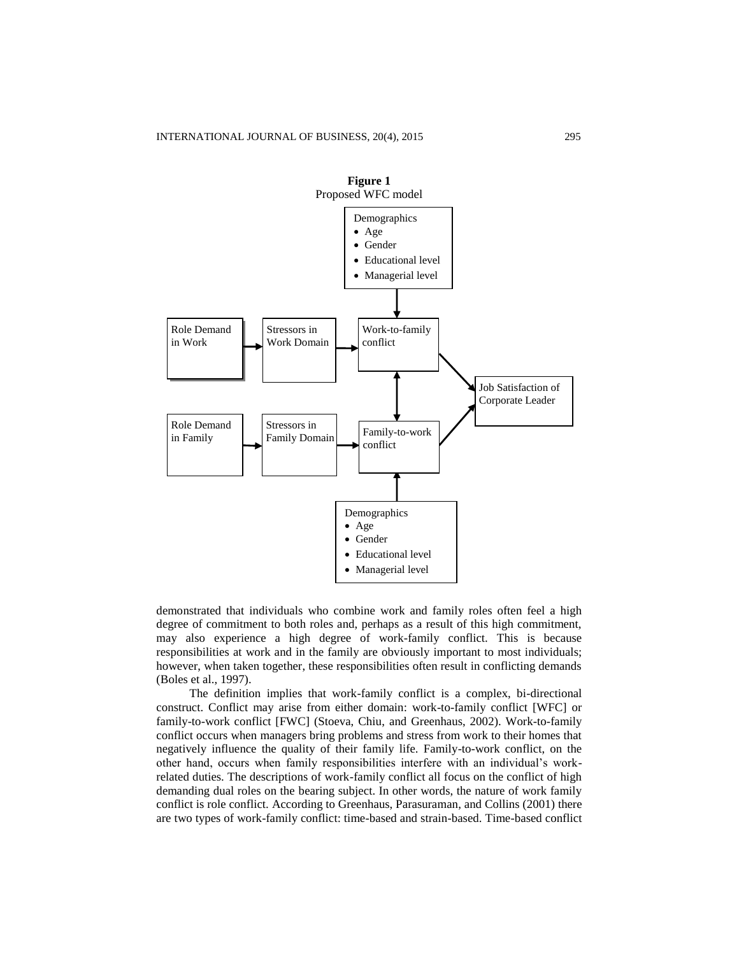

demonstrated that individuals who combine work and family roles often feel a high degree of commitment to both roles and, perhaps as a result of this high commitment, may also experience a high degree of work-family conflict. This is because responsibilities at work and in the family are obviously important to most individuals; however, when taken together, these responsibilities often result in conflicting demands (Boles et al., 1997).

The definition implies that work-family conflict is a complex, bi-directional construct. Conflict may arise from either domain: work-to-family conflict [WFC] or family-to-work conflict [FWC] (Stoeva, Chiu, and Greenhaus, 2002). Work-to-family conflict occurs when managers bring problems and stress from work to their homes that negatively influence the quality of their family life. Family-to-work conflict, on the other hand, occurs when family responsibilities interfere with an individual's workrelated duties. The descriptions of work-family conflict all focus on the conflict of high demanding dual roles on the bearing subject. In other words, the nature of work family conflict is role conflict. According to Greenhaus, Parasuraman, and Collins (2001) there are two types of work-family conflict: time-based and strain-based. Time-based conflict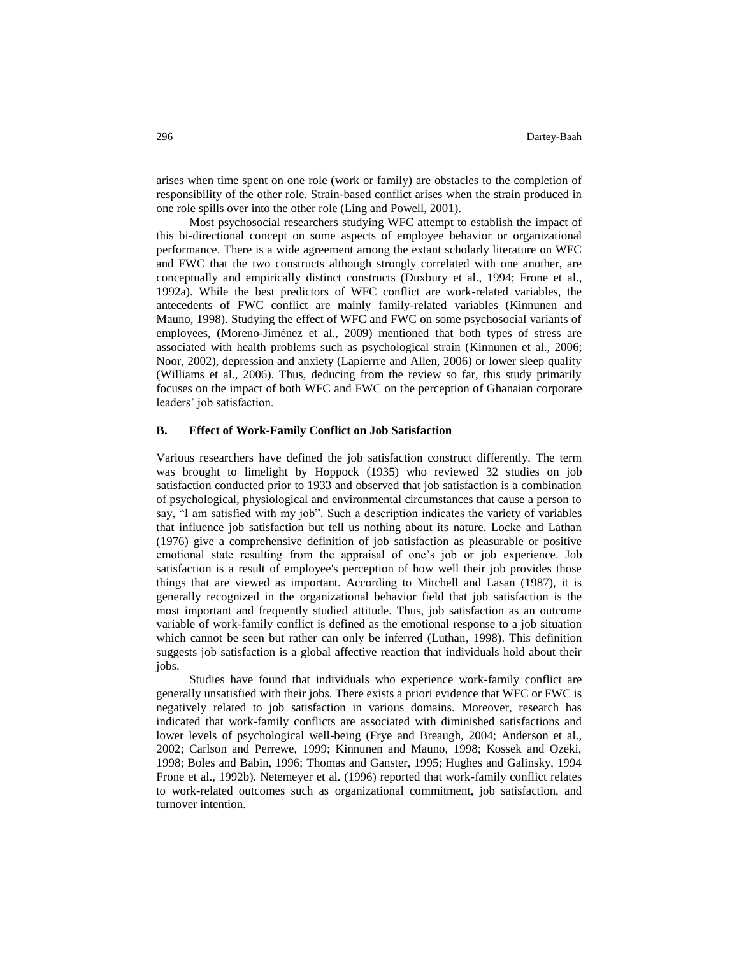arises when time spent on one role (work or family) are obstacles to the completion of responsibility of the other role. Strain-based conflict arises when the strain produced in one role spills over into the other role (Ling and Powell, 2001).

Most psychosocial researchers studying WFC attempt to establish the impact of this bi-directional concept on some aspects of employee behavior or organizational performance. There is a wide agreement among the extant scholarly literature on WFC and FWC that the two constructs although strongly correlated with one another, are conceptually and empirically distinct constructs (Duxbury et al., 1994; Frone et al., 1992a). While the best predictors of WFC conflict are work-related variables, the antecedents of FWC conflict are mainly family-related variables (Kinnunen and Mauno, 1998). Studying the effect of WFC and FWC on some psychosocial variants of employees, (Moreno-Jiménez et al., 2009) mentioned that both types of stress are associated with health problems such as psychological strain (Kinnunen et al., 2006; Noor, 2002), depression and anxiety (Lapierrre and Allen, 2006) or lower sleep quality (Williams et al., 2006). Thus, deducing from the review so far, this study primarily focuses on the impact of both WFC and FWC on the perception of Ghanaian corporate leaders' job satisfaction.

## **B. Effect of Work-Family Conflict on Job Satisfaction**

Various researchers have defined the job satisfaction construct differently. The term was brought to limelight by Hoppock (1935) who reviewed 32 studies on job satisfaction conducted prior to 1933 and observed that job satisfaction is a combination of psychological, physiological and environmental circumstances that cause a person to say, "I am satisfied with my job". Such a description indicates the variety of variables that influence job satisfaction but tell us nothing about its nature. Locke and Lathan (1976) give a comprehensive definition of job satisfaction as pleasurable or positive emotional state resulting from the appraisal of one's job or job experience. Job satisfaction is a result of employee's perception of how well their job provides those things that are viewed as important. According to Mitchell and Lasan (1987), it is generally recognized in the organizational behavior field that job satisfaction is the most important and frequently studied attitude. Thus, job satisfaction as an outcome variable of work-family conflict is defined as the emotional response to a job situation which cannot be seen but rather can only be inferred (Luthan, 1998). This definition suggests job satisfaction is a global affective reaction that individuals hold about their jobs.

Studies have found that individuals who experience work-family conflict are generally unsatisfied with their jobs. There exists a priori evidence that WFC or FWC is negatively related to job satisfaction in various domains. Moreover, research has indicated that work-family conflicts are associated with diminished satisfactions and lower levels of psychological well-being (Frye and Breaugh, 2004; Anderson et al., 2002; Carlson and Perrewe, 1999; Kinnunen and Mauno, 1998; Kossek and Ozeki, 1998; Boles and Babin, 1996; Thomas and Ganster, 1995; Hughes and Galinsky, 1994 Frone et al., 1992b). Netemeyer et al. (1996) reported that work-family conflict relates to work-related outcomes such as organizational commitment, job satisfaction, and turnover intention.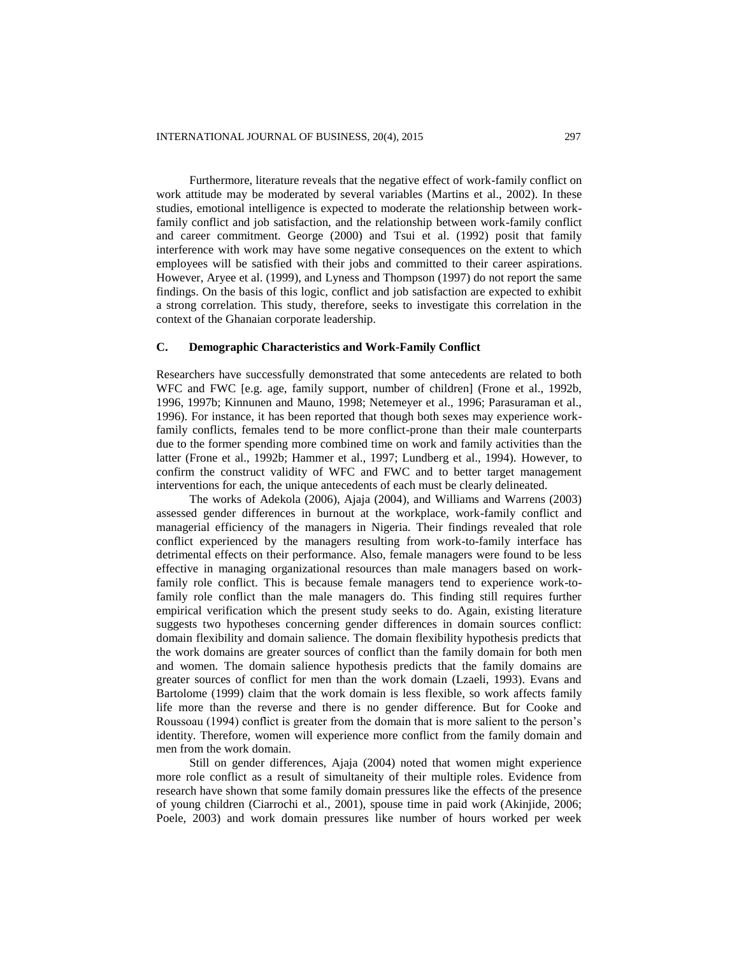Furthermore, literature reveals that the negative effect of work-family conflict on work attitude may be moderated by several variables (Martins et al., 2002). In these studies, emotional intelligence is expected to moderate the relationship between workfamily conflict and job satisfaction, and the relationship between work-family conflict and career commitment. George (2000) and Tsui et al. (1992) posit that family interference with work may have some negative consequences on the extent to which employees will be satisfied with their jobs and committed to their career aspirations. However, Aryee et al. (1999), and Lyness and Thompson (1997) do not report the same findings. On the basis of this logic, conflict and job satisfaction are expected to exhibit a strong correlation. This study, therefore, seeks to investigate this correlation in the context of the Ghanaian corporate leadership.

#### **C. Demographic Characteristics and Work-Family Conflict**

Researchers have successfully demonstrated that some antecedents are related to both WFC and FWC [e.g. age, family support, number of children] (Frone et al., 1992b, 1996, 1997b; Kinnunen and Mauno, 1998; Netemeyer et al., 1996; Parasuraman et al., 1996). For instance, it has been reported that though both sexes may experience workfamily conflicts, females tend to be more conflict-prone than their male counterparts due to the former spending more combined time on work and family activities than the latter (Frone et al., 1992b; Hammer et al., 1997; Lundberg et al., 1994). However, to confirm the construct validity of WFC and FWC and to better target management interventions for each, the unique antecedents of each must be clearly delineated.

The works of Adekola (2006), Ajaja (2004), and Williams and Warrens (2003) assessed gender differences in burnout at the workplace, work-family conflict and managerial efficiency of the managers in Nigeria. Their findings revealed that role conflict experienced by the managers resulting from work-to-family interface has detrimental effects on their performance. Also, female managers were found to be less effective in managing organizational resources than male managers based on workfamily role conflict. This is because female managers tend to experience work-tofamily role conflict than the male managers do. This finding still requires further empirical verification which the present study seeks to do. Again, existing literature suggests two hypotheses concerning gender differences in domain sources conflict: domain flexibility and domain salience. The domain flexibility hypothesis predicts that the work domains are greater sources of conflict than the family domain for both men and women. The domain salience hypothesis predicts that the family domains are greater sources of conflict for men than the work domain (Lzaeli, 1993). Evans and Bartolome (1999) claim that the work domain is less flexible, so work affects family life more than the reverse and there is no gender difference. But for Cooke and Roussoau (1994) conflict is greater from the domain that is more salient to the person's identity. Therefore, women will experience more conflict from the family domain and men from the work domain.

Still on gender differences, Ajaja (2004) noted that women might experience more role conflict as a result of simultaneity of their multiple roles. Evidence from research have shown that some family domain pressures like the effects of the presence of young children (Ciarrochi et al., 2001), spouse time in paid work (Akinjide, 2006; Poele, 2003) and work domain pressures like number of hours worked per week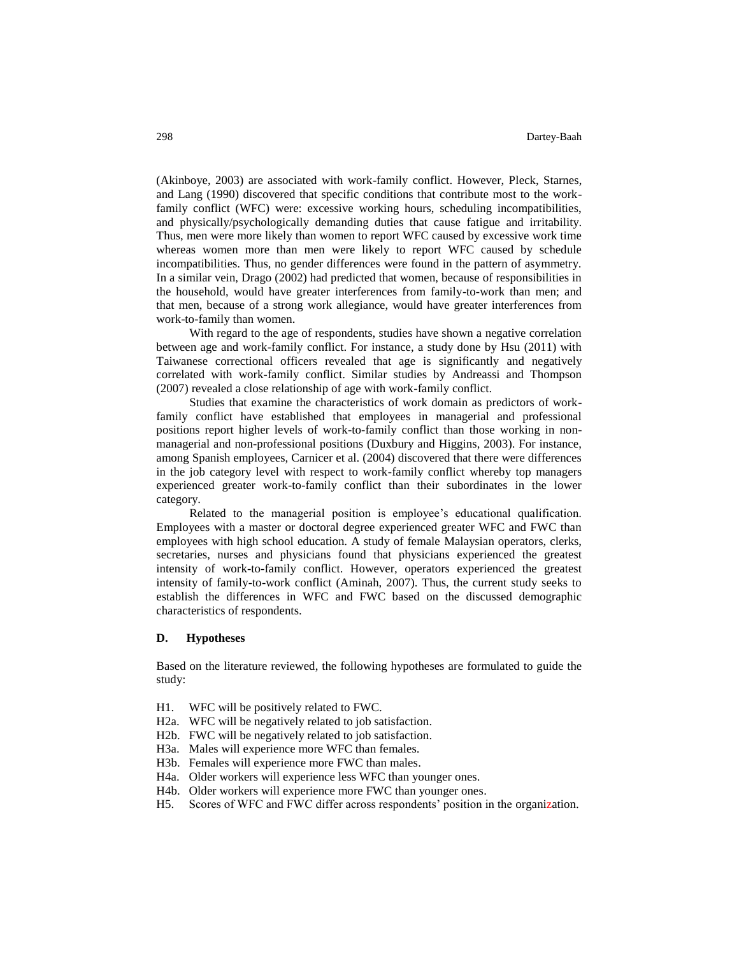(Akinboye, 2003) are associated with work-family conflict. However, Pleck, Starnes, and Lang (1990) discovered that specific conditions that contribute most to the workfamily conflict (WFC) were: excessive working hours, scheduling incompatibilities, and physically/psychologically demanding duties that cause fatigue and irritability. Thus, men were more likely than women to report WFC caused by excessive work time whereas women more than men were likely to report WFC caused by schedule incompatibilities. Thus, no gender differences were found in the pattern of asymmetry. In a similar vein, Drago (2002) had predicted that women, because of responsibilities in the household, would have greater interferences from family-to-work than men; and that men, because of a strong work allegiance, would have greater interferences from work-to-family than women.

With regard to the age of respondents, studies have shown a negative correlation between age and work-family conflict. For instance, a study done by Hsu (2011) with Taiwanese correctional officers revealed that age is significantly and negatively correlated with work-family conflict. Similar studies by Andreassi and Thompson (2007) revealed a close relationship of age with work-family conflict.

Studies that examine the characteristics of work domain as predictors of workfamily conflict have established that employees in managerial and professional positions report higher levels of work-to-family conflict than those working in nonmanagerial and non-professional positions (Duxbury and Higgins, 2003). For instance, among Spanish employees, Carnicer et al. (2004) discovered that there were differences in the job category level with respect to work-family conflict whereby top managers experienced greater work-to-family conflict than their subordinates in the lower category.

Related to the managerial position is employee's educational qualification. Employees with a master or doctoral degree experienced greater WFC and FWC than employees with high school education. A study of female Malaysian operators, clerks, secretaries, nurses and physicians found that physicians experienced the greatest intensity of work-to-family conflict. However, operators experienced the greatest intensity of family-to-work conflict (Aminah, 2007). Thus, the current study seeks to establish the differences in WFC and FWC based on the discussed demographic characteristics of respondents.

#### **D. Hypotheses**

Based on the literature reviewed, the following hypotheses are formulated to guide the study:

- H1. WFC will be positively related to FWC.
- H2a. WFC will be negatively related to job satisfaction.
- H2b. FWC will be negatively related to job satisfaction.
- H3a. Males will experience more WFC than females.
- H3b. Females will experience more FWC than males.
- H4a. Older workers will experience less WFC than younger ones.
- H4b. Older workers will experience more FWC than younger ones.
- H5. Scores of WFC and FWC differ across respondents' position in the organization.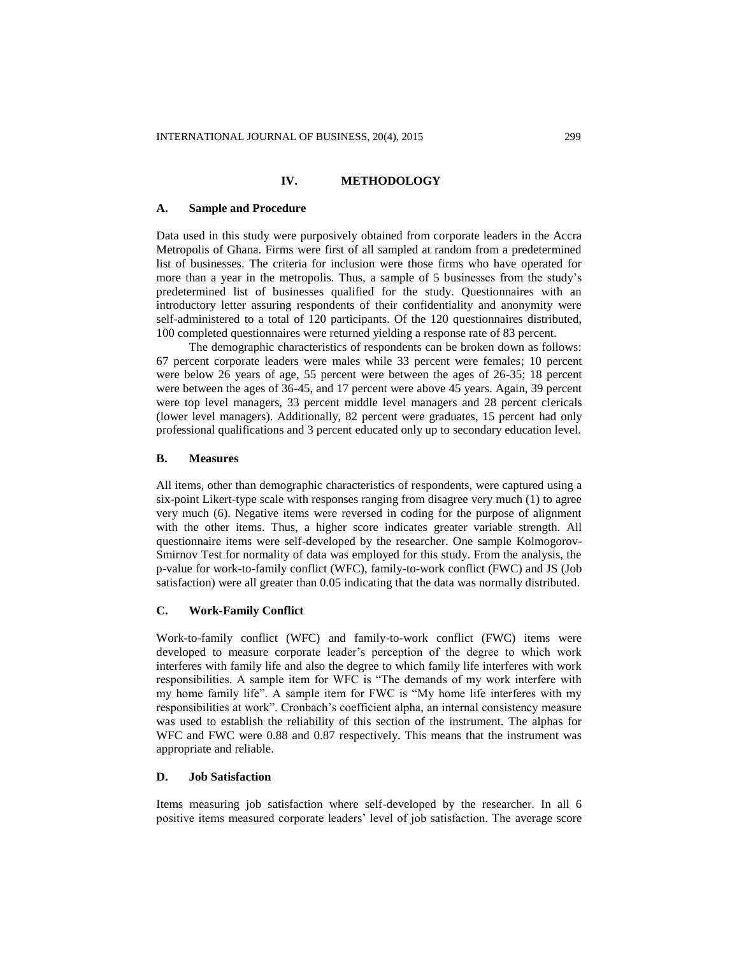#### **IV. METHODOLOGY**

#### **A. Sample and Procedure**

Data used in this study were purposively obtained from corporate leaders in the Accra Metropolis of Ghana. Firms were first of all sampled at random from a predetermined list of businesses. The criteria for inclusion were those firms who have operated for more than a year in the metropolis. Thus, a sample of 5 businesses from the study's predetermined list of businesses qualified for the study. Questionnaires with an introductory letter assuring respondents of their confidentiality and anonymity were self-administered to a total of 120 participants. Of the 120 questionnaires distributed, 100 completed questionnaires were returned yielding a response rate of 83 percent.

The demographic characteristics of respondents can be broken down as follows: 67 percent corporate leaders were males while 33 percent were females; 10 percent were below 26 years of age, 55 percent were between the ages of 26-35; 18 percent were between the ages of 36-45, and 17 percent were above 45 years. Again, 39 percent were top level managers, 33 percent middle level managers and 28 percent clericals (lower level managers). Additionally, 82 percent were graduates, 15 percent had only professional qualifications and 3 percent educated only up to secondary education level.

#### **B. Measures**

All items, other than demographic characteristics of respondents, were captured using a six-point Likert-type scale with responses ranging from disagree very much (1) to agree very much (6). Negative items were reversed in coding for the purpose of alignment with the other items. Thus, a higher score indicates greater variable strength. All questionnaire items were self-developed by the researcher. One sample Kolmogorov-Smirnov Test for normality of data was employed for this study. From the analysis, the p-value for work-to-family conflict (WFC), family-to-work conflict (FWC) and JS (Job satisfaction) were all greater than 0.05 indicating that the data was normally distributed.

# **C. Work-Family Conflict**

Work-to-family conflict (WFC) and family-to-work conflict (FWC) items were developed to measure corporate leader's perception of the degree to which work interferes with family life and also the degree to which family life interferes with work responsibilities. A sample item for WFC is "The demands of my work interfere with my home family life". A sample item for FWC is "My home life interferes with my responsibilities at work". Cronbach's coefficient alpha, an internal consistency measure was used to establish the reliability of this section of the instrument. The alphas for WFC and FWC were 0.88 and 0.87 respectively. This means that the instrument was appropriate and reliable.

# **D. Job Satisfaction**

Items measuring job satisfaction where self-developed by the researcher. In all 6 positive items measured corporate leaders' level of job satisfaction. The average score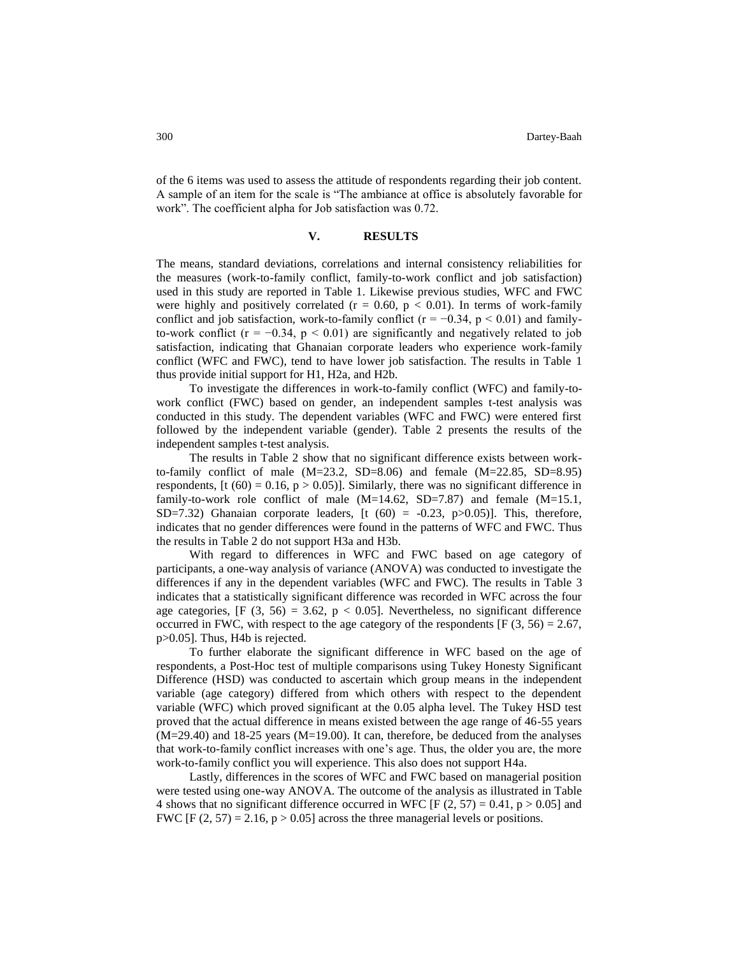of the 6 items was used to assess the attitude of respondents regarding their job content. A sample of an item for the scale is "The ambiance at office is absolutely favorable for work". The coefficient alpha for Job satisfaction was 0.72.

## **V. RESULTS**

The means, standard deviations, correlations and internal consistency reliabilities for the measures (work-to-family conflict, family-to-work conflict and job satisfaction) used in this study are reported in Table 1. Likewise previous studies, WFC and FWC were highly and positively correlated ( $r = 0.60$ ,  $p < 0.01$ ). In terms of work-family conflict and job satisfaction, work-to-family conflict ( $r = -0.34$ ,  $p < 0.01$ ) and familyto-work conflict ( $r = -0.34$ ,  $p < 0.01$ ) are significantly and negatively related to job satisfaction, indicating that Ghanaian corporate leaders who experience work-family conflict (WFC and FWC), tend to have lower job satisfaction. The results in Table 1 thus provide initial support for H1, H2a, and H2b.

To investigate the differences in work-to-family conflict (WFC) and family-towork conflict (FWC) based on gender, an independent samples t-test analysis was conducted in this study. The dependent variables (WFC and FWC) were entered first followed by the independent variable (gender). Table 2 presents the results of the independent samples t-test analysis.

The results in Table 2 show that no significant difference exists between workto-family conflict of male (M=23.2, SD=8.06) and female (M=22.85, SD=8.95) respondents,  $[t (60) = 0.16, p > 0.05]$ . Similarly, there was no significant difference in family-to-work role conflict of male  $(M=14.62, SD=7.87)$  and female  $(M=15.1,$ SD=7.32) Ghanaian corporate leaders,  $[t(60) = -0.23, p>0.05]$ . This, therefore, indicates that no gender differences were found in the patterns of WFC and FWC. Thus the results in Table 2 do not support H3a and H3b.

With regard to differences in WFC and FWC based on age category of participants, a one-way analysis of variance (ANOVA) was conducted to investigate the differences if any in the dependent variables (WFC and FWC). The results in Table 3 indicates that a statistically significant difference was recorded in WFC across the four age categories,  $[F(3, 56) = 3.62, p < 0.05]$ . Nevertheless, no significant difference occurred in FWC, with respect to the age category of the respondents [F  $(3, 56) = 2.67$ , p>0.05]. Thus, H4b is rejected.

To further elaborate the significant difference in WFC based on the age of respondents, a Post-Hoc test of multiple comparisons using Tukey Honesty Significant Difference (HSD) was conducted to ascertain which group means in the independent variable (age category) differed from which others with respect to the dependent variable (WFC) which proved significant at the 0.05 alpha level. The Tukey HSD test proved that the actual difference in means existed between the age range of 46-55 years (M=29.40) and 18-25 years (M=19.00). It can, therefore, be deduced from the analyses that work-to-family conflict increases with one's age. Thus, the older you are, the more work-to-family conflict you will experience. This also does not support H4a.

Lastly, differences in the scores of WFC and FWC based on managerial position were tested using one-way ANOVA. The outcome of the analysis as illustrated in Table 4 shows that no significant difference occurred in WFC [F  $(2, 57) = 0.41$ , p  $> 0.05$ ] and FWC [F (2, 57) = 2.16,  $p > 0.05$ ] across the three managerial levels or positions.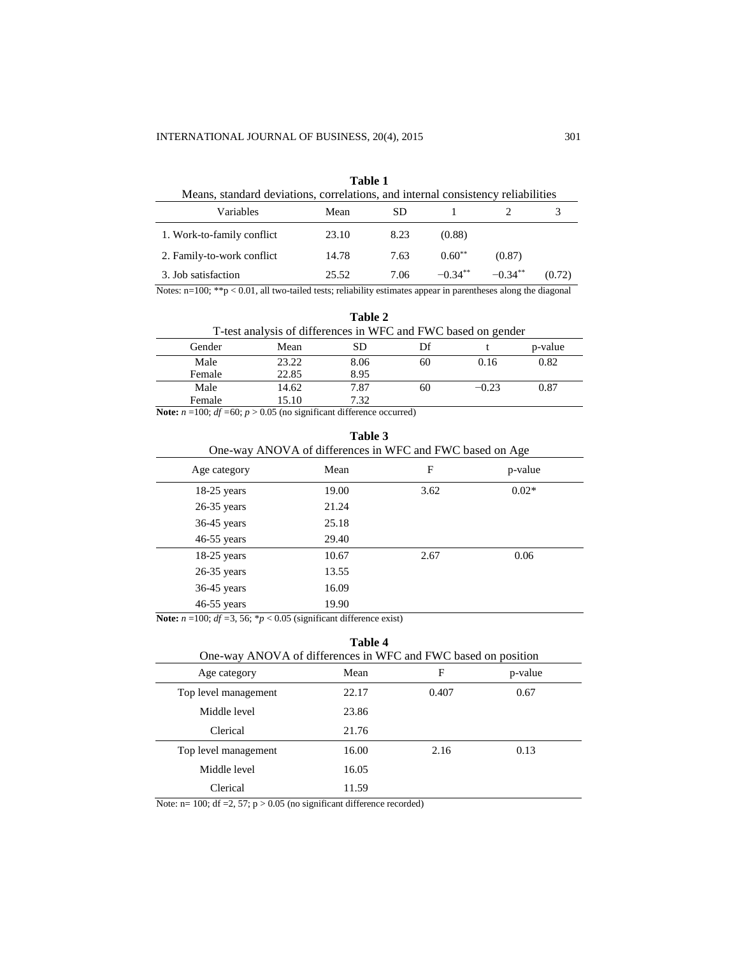| Table 1<br>Means, standard deviations, correlations, and internal consistency reliabilities |       |      |           |            |        |
|---------------------------------------------------------------------------------------------|-------|------|-----------|------------|--------|
| Variables                                                                                   | Mean  | SD   |           |            |        |
| 1. Work-to-family conflict                                                                  | 23.10 | 8.23 | (0.88)    |            |        |
| 2. Family-to-work conflict                                                                  | 14.78 | 7.63 | $0.60**$  | (0.87)     |        |
| 3. Job satisfaction                                                                         | 25.52 | 7.06 | $-0.34**$ | $-0.34***$ | (0.72) |

Notes: n=100; \*\*p < 0.01, all two-tailed tests; reliability estimates appear in parentheses along the diagonal

|                                                               |       | Table 2 |    |         |         |
|---------------------------------------------------------------|-------|---------|----|---------|---------|
| T-test analysis of differences in WFC and FWC based on gender |       |         |    |         |         |
| Gender                                                        | Mean  | SD      | Df |         | p-value |
| Male                                                          | 23.22 | 8.06    | 60 | 0.16    | 0.82    |
| Female                                                        | 22.85 | 8.95    |    |         |         |
| Male                                                          | 14.62 | 7.87    | 60 | $-0.23$ | 0.87    |
| Female                                                        | 15.10 | 7.32    |    |         |         |

**Note:**  $n = 100$ ;  $df = 60$ ;  $p > 0.05$  (no significant difference occurred)

| Table 3<br>One-way ANOVA of differences in WFC and FWC based on Age |       |      |         |
|---------------------------------------------------------------------|-------|------|---------|
| Age category                                                        | Mean  | F    | p-value |
| $18-25$ years                                                       | 19.00 | 3.62 | $0.02*$ |
| $26-35$ years                                                       | 21.24 |      |         |
| $36-45$ years                                                       | 25.18 |      |         |
| $46-55$ years                                                       | 29.40 |      |         |
| $18-25$ years                                                       | 10.67 | 2.67 | 0.06    |
| $26-35$ years                                                       | 13.55 |      |         |
| $36-45$ years                                                       | 16.09 |      |         |
| $46-55$ years                                                       | 19.90 |      |         |

**Note:** *n* =100; *df =*3, 56; \**p* < 0.05 (significant difference exist)

# **Table 4**

| *****<br>One-way ANOVA of differences in WFC and FWC based on position |       |       |         |  |
|------------------------------------------------------------------------|-------|-------|---------|--|
| Age category                                                           | Mean  | F     | p-value |  |
| Top level management                                                   | 22.17 | 0.407 | 0.67    |  |
| Middle level                                                           | 23.86 |       |         |  |
| Clerical                                                               | 21.76 |       |         |  |
| Top level management                                                   | 16.00 | 2.16  | 0.13    |  |
| Middle level                                                           | 16.05 |       |         |  |
| Clerical                                                               | 11.59 |       |         |  |

Note:  $n= 100$ ; df = 2, 57;  $p > 0.05$  (no significant difference recorded)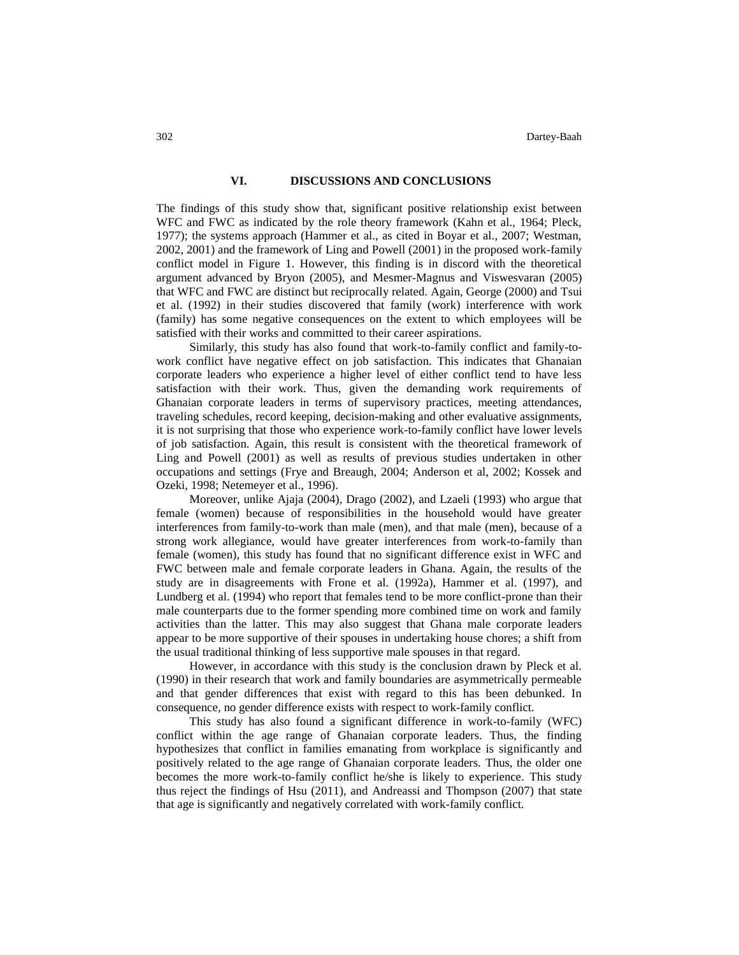## **VI. DISCUSSIONS AND CONCLUSIONS**

The findings of this study show that, significant positive relationship exist between WFC and FWC as indicated by the role theory framework (Kahn et al., 1964; Pleck, 1977); the systems approach (Hammer et al., as cited in Boyar et al., 2007; Westman, 2002, 2001) and the framework of Ling and Powell (2001) in the proposed work-family conflict model in Figure 1. However, this finding is in discord with the theoretical argument advanced by Bryon (2005), and Mesmer-Magnus and Viswesvaran (2005) that WFC and FWC are distinct but reciprocally related. Again, George (2000) and Tsui et al. (1992) in their studies discovered that family (work) interference with work (family) has some negative consequences on the extent to which employees will be satisfied with their works and committed to their career aspirations.

Similarly, this study has also found that work-to-family conflict and family-towork conflict have negative effect on job satisfaction. This indicates that Ghanaian corporate leaders who experience a higher level of either conflict tend to have less satisfaction with their work. Thus, given the demanding work requirements of Ghanaian corporate leaders in terms of supervisory practices, meeting attendances, traveling schedules, record keeping, decision-making and other evaluative assignments, it is not surprising that those who experience work-to-family conflict have lower levels of job satisfaction. Again, this result is consistent with the theoretical framework of Ling and Powell (2001) as well as results of previous studies undertaken in other occupations and settings (Frye and Breaugh, 2004; Anderson et al, 2002; Kossek and Ozeki, 1998; Netemeyer et al., 1996).

Moreover, unlike Ajaja (2004), Drago (2002), and Lzaeli (1993) who argue that female (women) because of responsibilities in the household would have greater interferences from family-to-work than male (men), and that male (men), because of a strong work allegiance, would have greater interferences from work-to-family than female (women), this study has found that no significant difference exist in WFC and FWC between male and female corporate leaders in Ghana. Again, the results of the study are in disagreements with Frone et al. (1992a), Hammer et al. (1997), and Lundberg et al. (1994) who report that females tend to be more conflict-prone than their male counterparts due to the former spending more combined time on work and family activities than the latter. This may also suggest that Ghana male corporate leaders appear to be more supportive of their spouses in undertaking house chores; a shift from the usual traditional thinking of less supportive male spouses in that regard.

However, in accordance with this study is the conclusion drawn by Pleck et al. (1990) in their research that work and family boundaries are asymmetrically permeable and that gender differences that exist with regard to this has been debunked. In consequence, no gender difference exists with respect to work-family conflict.

This study has also found a significant difference in work-to-family (WFC) conflict within the age range of Ghanaian corporate leaders. Thus, the finding hypothesizes that conflict in families emanating from workplace is significantly and positively related to the age range of Ghanaian corporate leaders. Thus, the older one becomes the more work-to-family conflict he/she is likely to experience. This study thus reject the findings of Hsu (2011), and Andreassi and Thompson (2007) that state that age is significantly and negatively correlated with work-family conflict.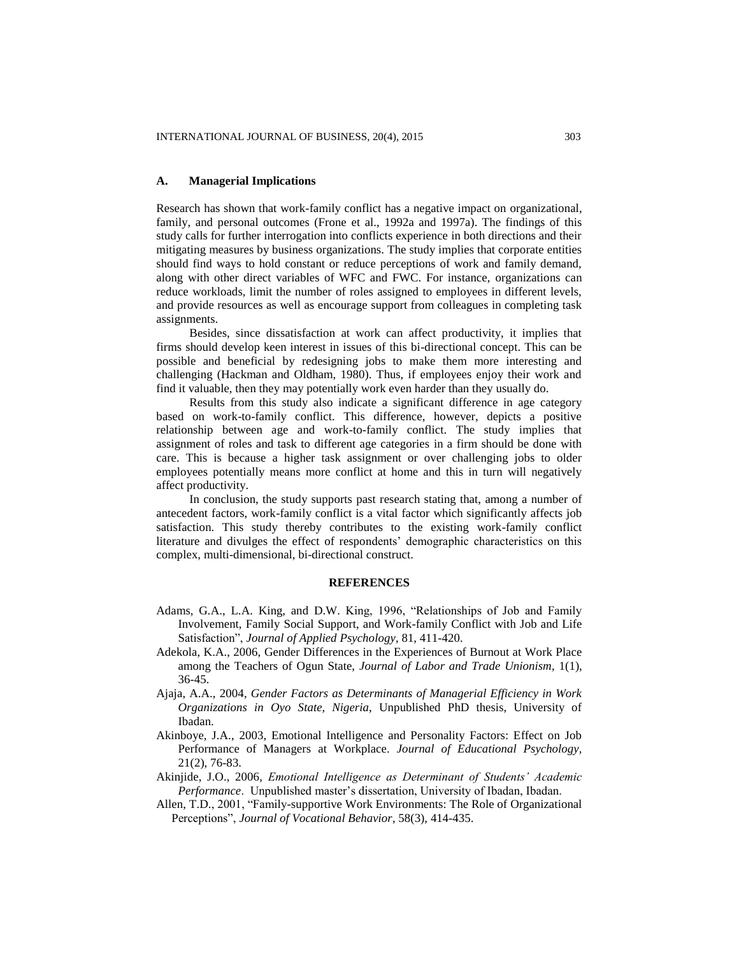#### **A. Managerial Implications**

Research has shown that work-family conflict has a negative impact on organizational, family, and personal outcomes (Frone et al., 1992a and 1997a). The findings of this study calls for further interrogation into conflicts experience in both directions and their mitigating measures by business organizations. The study implies that corporate entities should find ways to hold constant or reduce perceptions of work and family demand, along with other direct variables of WFC and FWC. For instance, organizations can reduce workloads, limit the number of roles assigned to employees in different levels, and provide resources as well as encourage support from colleagues in completing task assignments.

Besides, since dissatisfaction at work can affect productivity, it implies that firms should develop keen interest in issues of this bi-directional concept. This can be possible and beneficial by redesigning jobs to make them more interesting and challenging (Hackman and Oldham, 1980). Thus, if employees enjoy their work and find it valuable, then they may potentially work even harder than they usually do.

Results from this study also indicate a significant difference in age category based on work-to-family conflict. This difference, however, depicts a positive relationship between age and work-to-family conflict. The study implies that assignment of roles and task to different age categories in a firm should be done with care. This is because a higher task assignment or over challenging jobs to older employees potentially means more conflict at home and this in turn will negatively affect productivity.

In conclusion, the study supports past research stating that, among a number of antecedent factors, work-family conflict is a vital factor which significantly affects job satisfaction. This study thereby contributes to the existing work-family conflict literature and divulges the effect of respondents' demographic characteristics on this complex, multi-dimensional, bi-directional construct.

#### **REFERENCES**

- Adams, G.A., L.A. King, and D.W. King, 1996, "Relationships of Job and Family Involvement, Family Social Support, and Work-family Conflict with Job and Life Satisfaction", *Journal of Applied Psychology*, 81, 411-420.
- Adekola, K.A., 2006, Gender Differences in the Experiences of Burnout at Work Place among the Teachers of Ogun State, *Journal of Labor and Trade Unionism*, 1(1), 36-45.
- Ajaja, A.A., 2004, *Gender Factors as Determinants of Managerial Efficiency in Work Organizations in Oyo State, Nigeria*, Unpublished PhD thesis, University of Ibadan.
- Akinboye, J.A., 2003, Emotional Intelligence and Personality Factors: Effect on Job Performance of Managers at Workplace. *Journal of Educational Psychology,* 21(2), 76-83.
- Akinjide, J.O., 2006, *Emotional Intelligence as Determinant of Students' Academic Performance*. Unpublished master's dissertation, University of Ibadan, Ibadan.
- Allen, T.D., 2001, "Family-supportive Work Environments: The Role of Organizational Perceptions", *Journal of Vocational Behavior*, 58(3), 414-435.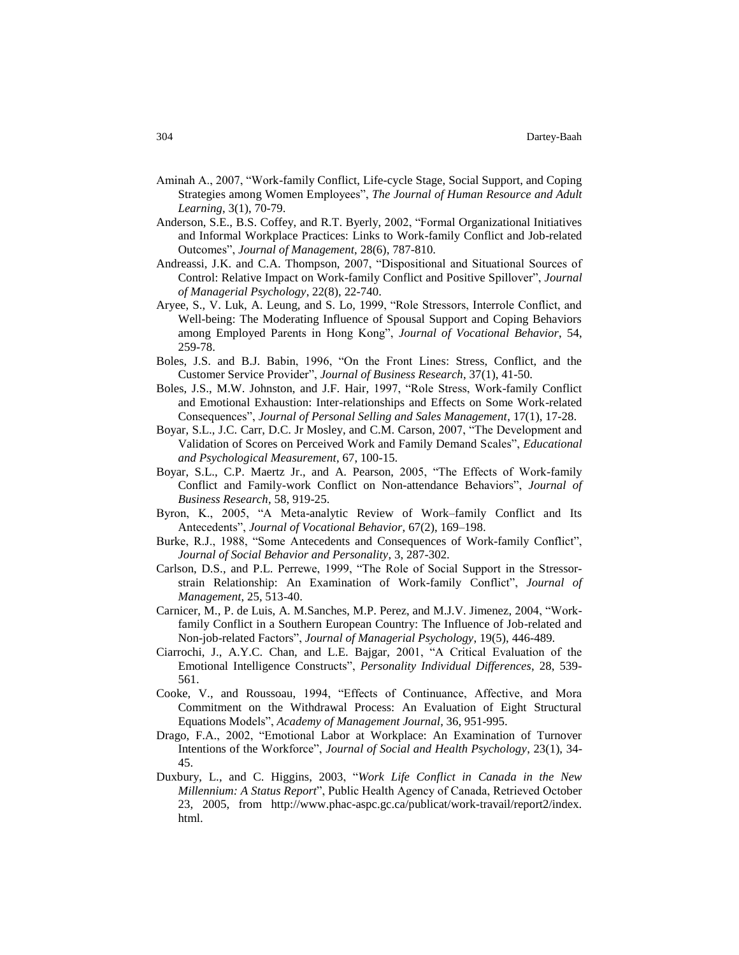- Aminah A., 2007, "Work-family Conflict, Life-cycle Stage, Social Support, and Coping Strategies among Women Employees", *The Journal of Human Resource and Adult Learning*, 3(1), 70-79.
- Anderson, S.E., B.S. Coffey, and R.T. Byerly, 2002, "Formal Organizational Initiatives and Informal Workplace Practices: Links to Work-family Conflict and Job-related Outcomes", *Journal of Management*, 28(6), 787-810.
- Andreassi, J.K. and C.A. Thompson, 2007, "Dispositional and Situational Sources of Control: Relative Impact on Work-family Conflict and Positive Spillover", *Journal of Managerial Psychology*, 22(8), 22-740.
- Aryee, S., V. Luk, A. Leung, and S. Lo, 1999, "Role Stressors, Interrole Conflict, and Well-being: The Moderating Influence of Spousal Support and Coping Behaviors among Employed Parents in Hong Kong", *Journal of Vocational Behavior*, 54, 259-78.
- Boles, J.S. and B.J. Babin, 1996, "On the Front Lines: Stress, Conflict, and the Customer Service Provider", *Journal of Business Research*, 37(1), 41-50.
- Boles, J.S., M.W. Johnston, and J.F. Hair, 1997, "Role Stress, Work-family Conflict and Emotional Exhaustion: Inter-relationships and Effects on Some Work-related Consequences", *Journal of Personal Selling and Sales Management*, 17(1), 17-28.
- Boyar, S.L., J.C. Carr, D.C. Jr Mosley, and C.M. Carson, 2007, "The Development and Validation of Scores on Perceived Work and Family Demand Scales", *Educational and Psychological Measurement*, 67, 100-15.
- Boyar, S.L., C.P. Maertz Jr., and A. Pearson, 2005, "The Effects of Work-family Conflict and Family-work Conflict on Non-attendance Behaviors", *Journal of Business Research*, 58, 919-25.
- Byron, K., 2005, "A Meta-analytic Review of Work–family Conflict and Its Antecedents", *Journal of Vocational Behavior*, 67(2), 169–198.
- Burke, R.J., 1988, "Some Antecedents and Consequences of Work-family Conflict", *Journal of Social Behavior and Personality*, 3, 287-302.
- Carlson, D.S., and P.L. Perrewe, 1999, "The Role of Social Support in the Stressorstrain Relationship: An Examination of Work-family Conflict", *Journal of Management*, 25, 513-40.
- Carnicer, M., P. de Luis, A. M.Sanches, M.P. Perez, and M.J.V. Jimenez, 2004, "Workfamily Conflict in a Southern European Country: The Influence of Job-related and Non-job-related Factors", *Journal of Managerial Psychology*, 19(5), 446-489.
- Ciarrochi, J., A.Y.C. Chan, and L.E. Bajgar, 2001, "A Critical Evaluation of the Emotional Intelligence Constructs", *Personality Individual Differences*, 28, 539- 561.
- Cooke, V., and Roussoau, 1994, "Effects of Continuance, Affective, and Mora Commitment on the Withdrawal Process: An Evaluation of Eight Structural Equations Models", *Academy of Management Journal*, 36, 951-995.
- Drago, F.A., 2002, "Emotional Labor at Workplace: An Examination of Turnover Intentions of the Workforce", *Journal of Social and Health Psychology*, 23(1), 34- 45.
- Duxbury, L., and C. Higgins, 2003, "*Work Life Conflict in Canada in the New Millennium: A Status Report*", Public Health Agency of Canada, Retrieved October 23, 2005, from http://www.phac-aspc.gc.ca/publicat/work-travail/report2/index. html.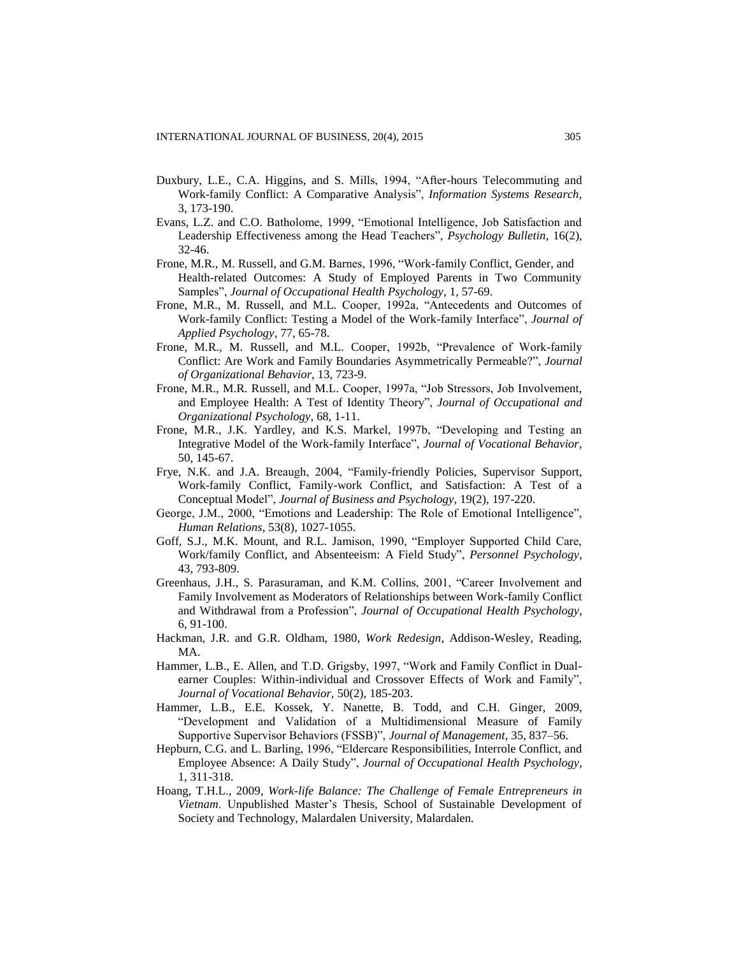- Duxbury, L.E., C.A. Higgins, and S. Mills, 1994, "After-hours Telecommuting and Work-family Conflict: A Comparative Analysis", *Information Systems Research,*  3, 173-190.
- Evans, L.Z. and C.O. Batholome, 1999, "Emotional Intelligence, Job Satisfaction and Leadership Effectiveness among the Head Teachers", *Psychology Bulletin*, 16(2), 32-46.
- Frone, M.R., M. Russell, and G.M. Barnes, 1996, "Work-family Conflict, Gender, and Health-related Outcomes: A Study of Employed Parents in Two Community Samples", *Journal of Occupational Health Psychology*, 1, 57-69.
- Frone, M.R., M. Russell, and M.L. Cooper, 1992a, "Antecedents and Outcomes of Work-family Conflict: Testing a Model of the Work-family Interface", *Journal of Applied Psychology*, 77, 65-78.
- Frone, M.R., M. Russell, and M.L. Cooper, 1992b, "Prevalence of Work-family Conflict: Are Work and Family Boundaries Asymmetrically Permeable?", *Journal of Organizational Behavior*, 13, 723-9.
- Frone, M.R., M.R. Russell, and M.L. Cooper, 1997a, "Job Stressors, Job Involvement, and Employee Health: A Test of Identity Theory", *Journal of Occupational and Organizational Psychology*, 68, 1-11.
- Frone, M.R., J.K. Yardley, and K.S. Markel, 1997b, "Developing and Testing an Integrative Model of the Work-family Interface", *Journal of Vocational Behavior*, 50, 145-67.
- Frye, N.K. and J.A. Breaugh, 2004, "Family-friendly Policies, Supervisor Support, Work-family Conflict, Family-work Conflict, and Satisfaction: A Test of a Conceptual Model", *Journal of Business and Psychology*, 19(2), 197-220.
- George, J.M., 2000, "Emotions and Leadership: The Role of Emotional Intelligence", *Human Relations*, 53(8), 1027-1055.
- Goff, S.J., M.K. Mount, and R.L. Jamison, 1990, "Employer Supported Child Care, Work/family Conflict, and Absenteeism: A Field Study", *Personnel Psychology*, 43, 793-809.
- Greenhaus, J.H., S. Parasuraman, and K.M. Collins, 2001, "Career Involvement and Family Involvement as Moderators of Relationships between Work-family Conflict and Withdrawal from a Profession", *Journal of Occupational Health Psychology*, 6, 91-100.
- Hackman, J.R. and G.R. Oldham, 1980, *Work Redesign*, Addison-Wesley, Reading, MA.
- Hammer, L.B., E. Allen, and T.D. Grigsby, 1997, "Work and Family Conflict in Dualearner Couples: Within-individual and Crossover Effects of Work and Family", *Journal of Vocational Behavior,* 50(2), 185-203.
- Hammer, L.B., E.E. Kossek, Y. Nanette, B. Todd, and C.H. Ginger, 2009, "Development and Validation of a Multidimensional Measure of Family Supportive Supervisor Behaviors (FSSB)", *Journal of Management*, 35, 837–56.
- Hepburn, C.G. and L. Barling, 1996, "Eldercare Responsibilities, Interrole Conflict, and Employee Absence: A Daily Study", *Journal of Occupational Health Psychology*, 1, 311-318.
- Hoang, T.H.L., 2009, *Work-life Balance: The Challenge of Female Entrepreneurs in Vietnam*. Unpublished Master's Thesis, School of Sustainable Development of Society and Technology, Malardalen University, Malardalen.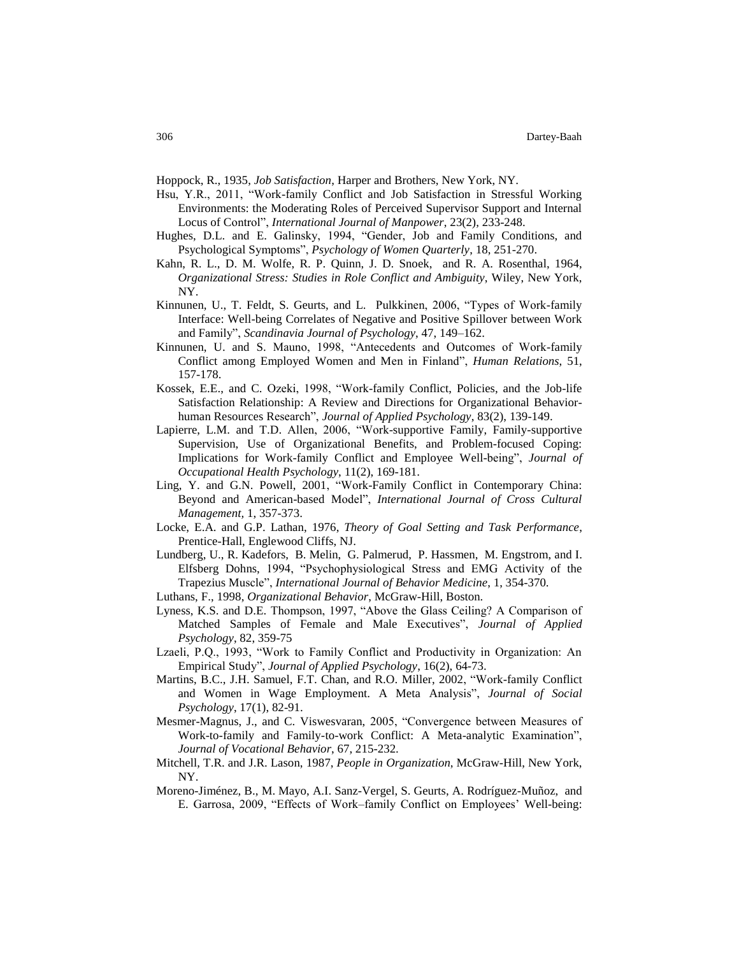Hoppock, R., 1935, *Job Satisfaction*, Harper and Brothers, New York, NY.

- Hsu, Y.R., 2011, "Work-family Conflict and Job Satisfaction in Stressful Working Environments: the Moderating Roles of Perceived Supervisor Support and Internal Locus of Control", *International Journal of Manpower*, 23(2), 233-248.
- Hughes, D.L. and E. Galinsky, 1994, "Gender, Job and Family Conditions, and Psychological Symptoms", *Psychology of Women Quarterly*, 18, 251-270.
- Kahn, R. L., D. M. Wolfe, R. P. Quinn, J. D. Snoek, and R. A. Rosenthal, 1964, *Organizational Stress: Studies in Role Conflict and Ambiguity*, Wiley, New York, NY.
- Kinnunen, U., T. Feldt, S. Geurts, and L. Pulkkinen, 2006, "Types of Work-family Interface: Well-being Correlates of Negative and Positive Spillover between Work and Family", *Scandinavia Journal of Psychology*, 47, 149–162.
- Kinnunen, U. and S. Mauno, 1998, "Antecedents and Outcomes of Work-family Conflict among Employed Women and Men in Finland", *Human Relations*, 51, 157-178.
- Kossek, E.E., and C. Ozeki, 1998, "Work-family Conflict, Policies, and the Job-life Satisfaction Relationship: A Review and Directions for Organizational Behaviorhuman Resources Research", *Journal of Applied Psychology*, 83(2), 139-149.
- Lapierre, L.M. and T.D. Allen, 2006, "Work-supportive Family, Family-supportive Supervision, Use of Organizational Benefits, and Problem-focused Coping: Implications for Work-family Conflict and Employee Well-being", *Journal of Occupational Health Psychology*, 11(2), 169-181.
- Ling, Y. and G.N. Powell, 2001, "Work-Family Conflict in Contemporary China: Beyond and American-based Model", *International Journal of Cross Cultural Management,* 1, 357-373.
- Locke, E.A. and G.P. Lathan, 1976, *Theory of Goal Setting and Task Performance*, Prentice-Hall, Englewood Cliffs, NJ.
- Lundberg, U., R. Kadefors, B. Melin, G. Palmerud, P. Hassmen, M. Engstrom, and I. Elfsberg Dohns, 1994, "Psychophysiological Stress and EMG Activity of the Trapezius Muscle", *International Journal of Behavior Medicine*, 1, 354-370.
- Luthans, F., 1998, *Organizational Behavior*, McGraw-Hill, Boston.
- Lyness, K.S. and D.E. Thompson, 1997, "Above the Glass Ceiling? A Comparison of Matched Samples of Female and Male Executives", *Journal of Applied Psychology*, 82, 359-75
- Lzaeli, P.Q., 1993, "Work to Family Conflict and Productivity in Organization: An Empirical Study", *Journal of Applied Psychology*, 16(2), 64-73.
- Martins, B.C., J.H. Samuel, F.T. Chan, and R.O. Miller, 2002, "Work-family Conflict and Women in Wage Employment. A Meta Analysis", *Journal of Social Psychology*, 17(1), 82-91.
- Mesmer-Magnus, J., and C. Viswesvaran, 2005, "Convergence between Measures of Work-to-family and Family-to-work Conflict: A Meta-analytic Examination", *Journal of Vocational Behavior*, 67, 215-232.
- Mitchell, T.R. and J.R. Lason, 1987, *People in Organization*, McGraw-Hill, New York, NY.
- Moreno-Jiménez, B., M. Mayo, A.I. Sanz-Vergel, S. Geurts, A. Rodríguez-Muñoz, and E. Garrosa, 2009, "Effects of Work–family Conflict on Employees' Well-being: